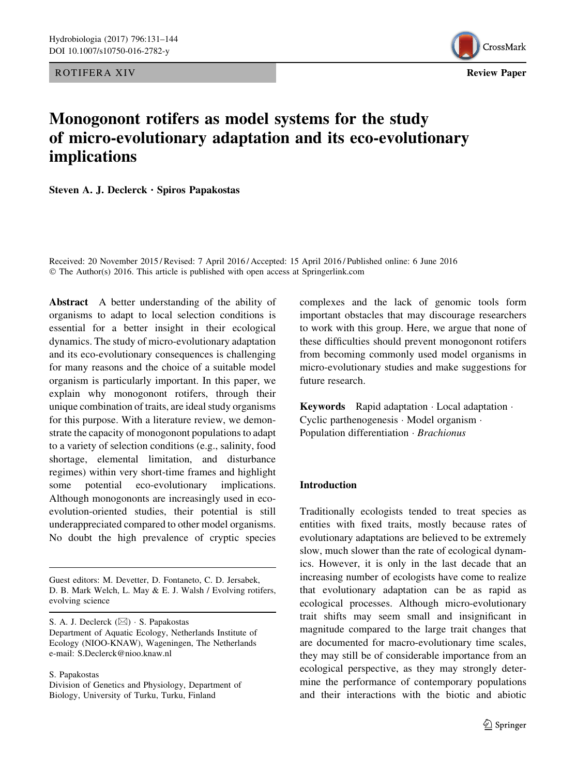ROTIFERA XIV **Review Paper** 



# Monogonont rotifers as model systems for the study of micro-evolutionary adaptation and its eco-evolutionary implications

Steven A. J. Declerck . Spiros Papakostas

Received: 20 November 2015 / Revised: 7 April 2016 / Accepted: 15 April 2016 / Published online: 6 June 2016 © The Author(s) 2016. This article is published with open access at Springerlink.com

Abstract A better understanding of the ability of organisms to adapt to local selection conditions is essential for a better insight in their ecological dynamics. The study of micro-evolutionary adaptation and its eco-evolutionary consequences is challenging for many reasons and the choice of a suitable model organism is particularly important. In this paper, we explain why monogonont rotifers, through their unique combination of traits, are ideal study organisms for this purpose. With a literature review, we demonstrate the capacity of monogonont populations to adapt to a variety of selection conditions (e.g., salinity, food shortage, elemental limitation, and disturbance regimes) within very short-time frames and highlight some potential eco-evolutionary implications. Although monogononts are increasingly used in ecoevolution-oriented studies, their potential is still underappreciated compared to other model organisms. No doubt the high prevalence of cryptic species

S. A. J. Declerck (⊠) · S. Papakostas Department of Aquatic Ecology, Netherlands Institute of Ecology (NIOO-KNAW), Wageningen, The Netherlands e-mail: S.Declerck@nioo.knaw.nl

#### S. Papakostas

Division of Genetics and Physiology, Department of Biology, University of Turku, Turku, Finland

complexes and the lack of genomic tools form important obstacles that may discourage researchers to work with this group. Here, we argue that none of these difficulties should prevent monogonont rotifers from becoming commonly used model organisms in micro-evolutionary studies and make suggestions for future research.

Keywords Rapid adaptation - Local adaptation - Cyclic parthenogenesis - Model organism - Population differentiation · Brachionus

# Introduction

Traditionally ecologists tended to treat species as entities with fixed traits, mostly because rates of evolutionary adaptations are believed to be extremely slow, much slower than the rate of ecological dynamics. However, it is only in the last decade that an increasing number of ecologists have come to realize that evolutionary adaptation can be as rapid as ecological processes. Although micro-evolutionary trait shifts may seem small and insignificant in magnitude compared to the large trait changes that are documented for macro-evolutionary time scales, they may still be of considerable importance from an ecological perspective, as they may strongly determine the performance of contemporary populations and their interactions with the biotic and abiotic

Guest editors: M. Devetter, D. Fontaneto, C. D. Jersabek, D. B. Mark Welch, L. May & E. J. Walsh / Evolving rotifers, evolving science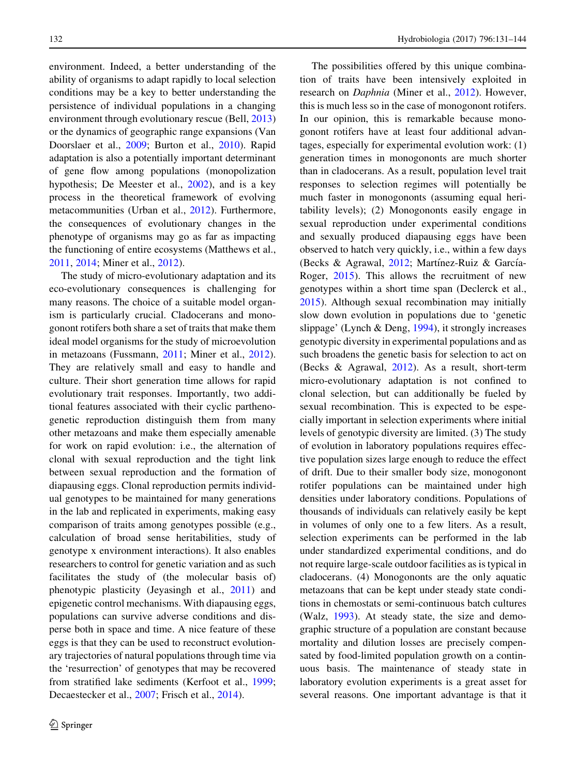environment. Indeed, a better understanding of the ability of organisms to adapt rapidly to local selection conditions may be a key to better understanding the persistence of individual populations in a changing environment through evolutionary rescue (Bell, [2013\)](#page-11-0) or the dynamics of geographic range expansions (Van Doorslaer et al., [2009](#page-13-0); Burton et al., [2010\)](#page-11-0). Rapid adaptation is also a potentially important determinant of gene flow among populations (monopolization hypothesis; De Meester et al., [2002](#page-11-0)), and is a key process in the theoretical framework of evolving metacommunities (Urban et al., [2012](#page-13-0)). Furthermore, the consequences of evolutionary changes in the phenotype of organisms may go as far as impacting the functioning of entire ecosystems (Matthews et al., [2011,](#page-12-0) [2014](#page-12-0); Miner et al., [2012\)](#page-12-0).

The study of micro-evolutionary adaptation and its eco-evolutionary consequences is challenging for many reasons. The choice of a suitable model organism is particularly crucial. Cladocerans and monogonont rotifers both share a set of traits that make them ideal model organisms for the study of microevolution in metazoans (Fussmann, [2011;](#page-12-0) Miner et al., [2012](#page-12-0)). They are relatively small and easy to handle and culture. Their short generation time allows for rapid evolutionary trait responses. Importantly, two additional features associated with their cyclic parthenogenetic reproduction distinguish them from many other metazoans and make them especially amenable for work on rapid evolution: i.e., the alternation of clonal with sexual reproduction and the tight link between sexual reproduction and the formation of diapausing eggs. Clonal reproduction permits individual genotypes to be maintained for many generations in the lab and replicated in experiments, making easy comparison of traits among genotypes possible (e.g., calculation of broad sense heritabilities, study of genotype x environment interactions). It also enables researchers to control for genetic variation and as such facilitates the study of (the molecular basis of) phenotypic plasticity (Jeyasingh et al., [2011\)](#page-12-0) and epigenetic control mechanisms. With diapausing eggs, populations can survive adverse conditions and disperse both in space and time. A nice feature of these eggs is that they can be used to reconstruct evolutionary trajectories of natural populations through time via the 'resurrection' of genotypes that may be recovered from stratified lake sediments (Kerfoot et al., [1999](#page-12-0); Decaestecker et al., [2007](#page-12-0); Frisch et al., [2014\)](#page-12-0).

The possibilities offered by this unique combination of traits have been intensively exploited in research on Daphnia (Miner et al., [2012\)](#page-12-0). However, this is much less so in the case of monogonont rotifers. In our opinion, this is remarkable because monogonont rotifers have at least four additional advantages, especially for experimental evolution work: (1) generation times in monogononts are much shorter than in cladocerans. As a result, population level trait responses to selection regimes will potentially be much faster in monogononts (assuming equal heritability levels); (2) Monogononts easily engage in sexual reproduction under experimental conditions and sexually produced diapausing eggs have been observed to hatch very quickly, i.e., within a few days (Becks & Agrawal, [2012](#page-11-0); Martínez-Ruiz & García-Roger, [2015\)](#page-12-0). This allows the recruitment of new genotypes within a short time span (Declerck et al., [2015\)](#page-12-0). Although sexual recombination may initially slow down evolution in populations due to 'genetic slippage' (Lynch & Deng, [1994](#page-12-0)), it strongly increases genotypic diversity in experimental populations and as such broadens the genetic basis for selection to act on (Becks & Agrawal, [2012](#page-11-0)). As a result, short-term micro-evolutionary adaptation is not confined to clonal selection, but can additionally be fueled by sexual recombination. This is expected to be especially important in selection experiments where initial levels of genotypic diversity are limited. (3) The study of evolution in laboratory populations requires effective population sizes large enough to reduce the effect of drift. Due to their smaller body size, monogonont rotifer populations can be maintained under high densities under laboratory conditions. Populations of thousands of individuals can relatively easily be kept in volumes of only one to a few liters. As a result, selection experiments can be performed in the lab under standardized experimental conditions, and do not require large-scale outdoor facilities as is typical in cladocerans. (4) Monogononts are the only aquatic metazoans that can be kept under steady state conditions in chemostats or semi-continuous batch cultures (Walz, [1993\)](#page-13-0). At steady state, the size and demographic structure of a population are constant because mortality and dilution losses are precisely compensated by food-limited population growth on a continuous basis. The maintenance of steady state in laboratory evolution experiments is a great asset for several reasons. One important advantage is that it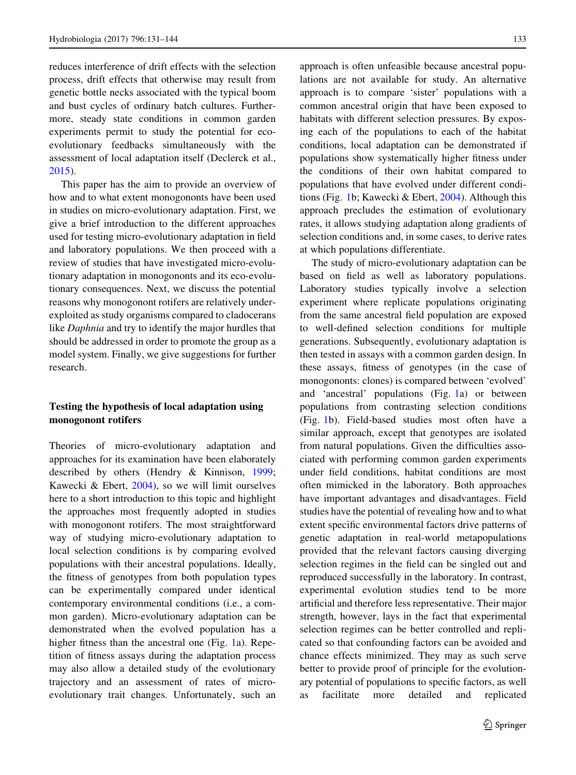reduces interference of drift effects with the selection process, drift effects that otherwise may result from genetic bottle necks associated with the typical boom and bust cycles of ordinary batch cultures. Furthermore, steady state conditions in common garden experiments permit to study the potential for ecoevolutionary feedbacks simultaneously with the assessment of local adaptation itself (Declerck et al., [2015\)](#page-12-0).

This paper has the aim to provide an overview of how and to what extent monogononts have been used in studies on micro-evolutionary adaptation. First, we give a brief introduction to the different approaches used for testing micro-evolutionary adaptation in field and laboratory populations. We then proceed with a review of studies that have investigated micro-evolutionary adaptation in monogononts and its eco-evolutionary consequences. Next, we discuss the potential reasons why monogonont rotifers are relatively underexploited as study organisms compared to cladocerans like Daphnia and try to identify the major hurdles that should be addressed in order to promote the group as a model system. Finally, we give suggestions for further research.

# Testing the hypothesis of local adaptation using monogonont rotifers

Theories of micro-evolutionary adaptation and approaches for its examination have been elaborately described by others (Hendry & Kinnison, [1999](#page-12-0); Kawecki & Ebert, [2004](#page-12-0)), so we will limit ourselves here to a short introduction to this topic and highlight the approaches most frequently adopted in studies with monogonont rotifers. The most straightforward way of studying micro-evolutionary adaptation to local selection conditions is by comparing evolved populations with their ancestral populations. Ideally, the fitness of genotypes from both population types can be experimentally compared under identical contemporary environmental conditions (i.e., a common garden). Micro-evolutionary adaptation can be demonstrated when the evolved population has a higher fitness than the ancestral one (Fig. [1a](#page-3-0)). Repetition of fitness assays during the adaptation process may also allow a detailed study of the evolutionary trajectory and an assessment of rates of microevolutionary trait changes. Unfortunately, such an approach is often unfeasible because ancestral populations are not available for study. An alternative approach is to compare 'sister' populations with a common ancestral origin that have been exposed to habitats with different selection pressures. By exposing each of the populations to each of the habitat conditions, local adaptation can be demonstrated if populations show systematically higher fitness under the conditions of their own habitat compared to populations that have evolved under different conditions (Fig. [1b](#page-3-0); Kawecki & Ebert, [2004\)](#page-12-0). Although this approach precludes the estimation of evolutionary rates, it allows studying adaptation along gradients of selection conditions and, in some cases, to derive rates at which populations differentiate.

The study of micro-evolutionary adaptation can be based on field as well as laboratory populations. Laboratory studies typically involve a selection experiment where replicate populations originating from the same ancestral field population are exposed to well-defined selection conditions for multiple generations. Subsequently, evolutionary adaptation is then tested in assays with a common garden design. In these assays, fitness of genotypes (in the case of monogononts: clones) is compared between 'evolved' and 'ancestral' populations (Fig. [1a](#page-3-0)) or between populations from contrasting selection conditions (Fig. [1](#page-3-0)b). Field-based studies most often have a similar approach, except that genotypes are isolated from natural populations. Given the difficulties associated with performing common garden experiments under field conditions, habitat conditions are most often mimicked in the laboratory. Both approaches have important advantages and disadvantages. Field studies have the potential of revealing how and to what extent specific environmental factors drive patterns of genetic adaptation in real-world metapopulations provided that the relevant factors causing diverging selection regimes in the field can be singled out and reproduced successfully in the laboratory. In contrast, experimental evolution studies tend to be more artificial and therefore less representative. Their major strength, however, lays in the fact that experimental selection regimes can be better controlled and replicated so that confounding factors can be avoided and chance effects minimized. They may as such serve better to provide proof of principle for the evolutionary potential of populations to specific factors, as well as facilitate more detailed and replicated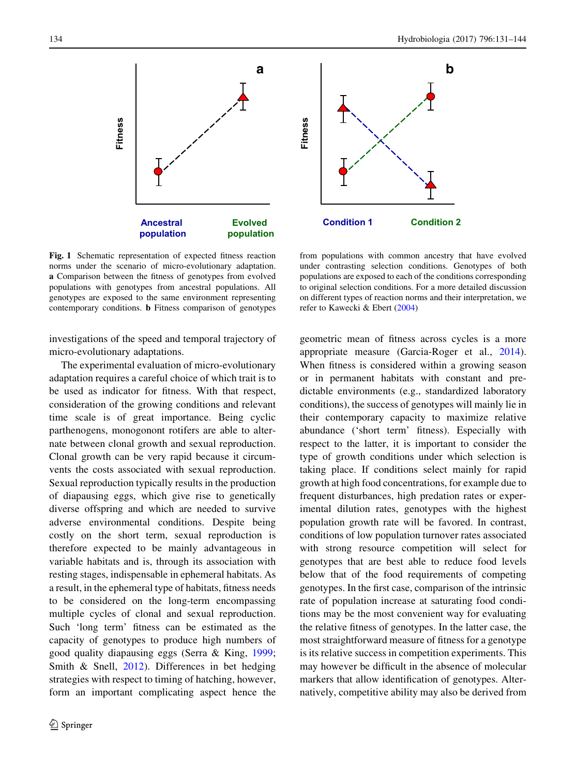<span id="page-3-0"></span>



Fig. 1 Schematic representation of expected fitness reaction norms under the scenario of micro-evolutionary adaptation. a Comparison between the fitness of genotypes from evolved populations with genotypes from ancestral populations. All genotypes are exposed to the same environment representing contemporary conditions. b Fitness comparison of genotypes

investigations of the speed and temporal trajectory of micro-evolutionary adaptations.

The experimental evaluation of micro-evolutionary adaptation requires a careful choice of which trait is to be used as indicator for fitness. With that respect, consideration of the growing conditions and relevant time scale is of great importance. Being cyclic parthenogens, monogonont rotifers are able to alternate between clonal growth and sexual reproduction. Clonal growth can be very rapid because it circumvents the costs associated with sexual reproduction. Sexual reproduction typically results in the production of diapausing eggs, which give rise to genetically diverse offspring and which are needed to survive adverse environmental conditions. Despite being costly on the short term, sexual reproduction is therefore expected to be mainly advantageous in variable habitats and is, through its association with resting stages, indispensable in ephemeral habitats. As a result, in the ephemeral type of habitats, fitness needs to be considered on the long-term encompassing multiple cycles of clonal and sexual reproduction. Such 'long term' fitness can be estimated as the capacity of genotypes to produce high numbers of good quality diapausing eggs (Serra & King, [1999](#page-13-0); Smith & Snell, [2012\)](#page-13-0). Differences in bet hedging strategies with respect to timing of hatching, however, form an important complicating aspect hence the

from populations with common ancestry that have evolved under contrasting selection conditions. Genotypes of both populations are exposed to each of the conditions corresponding to original selection conditions. For a more detailed discussion on different types of reaction norms and their interpretation, we refer to Kawecki & Ebert [\(2004](#page-12-0))

geometric mean of fitness across cycles is a more appropriate measure (Garcia-Roger et al., [2014](#page-12-0)). When fitness is considered within a growing season or in permanent habitats with constant and predictable environments (e.g., standardized laboratory conditions), the success of genotypes will mainly lie in their contemporary capacity to maximize relative abundance ('short term' fitness). Especially with respect to the latter, it is important to consider the type of growth conditions under which selection is taking place. If conditions select mainly for rapid growth at high food concentrations, for example due to frequent disturbances, high predation rates or experimental dilution rates, genotypes with the highest population growth rate will be favored. In contrast, conditions of low population turnover rates associated with strong resource competition will select for genotypes that are best able to reduce food levels below that of the food requirements of competing genotypes. In the first case, comparison of the intrinsic rate of population increase at saturating food conditions may be the most convenient way for evaluating the relative fitness of genotypes. In the latter case, the most straightforward measure of fitness for a genotype is its relative success in competition experiments. This may however be difficult in the absence of molecular markers that allow identification of genotypes. Alternatively, competitive ability may also be derived from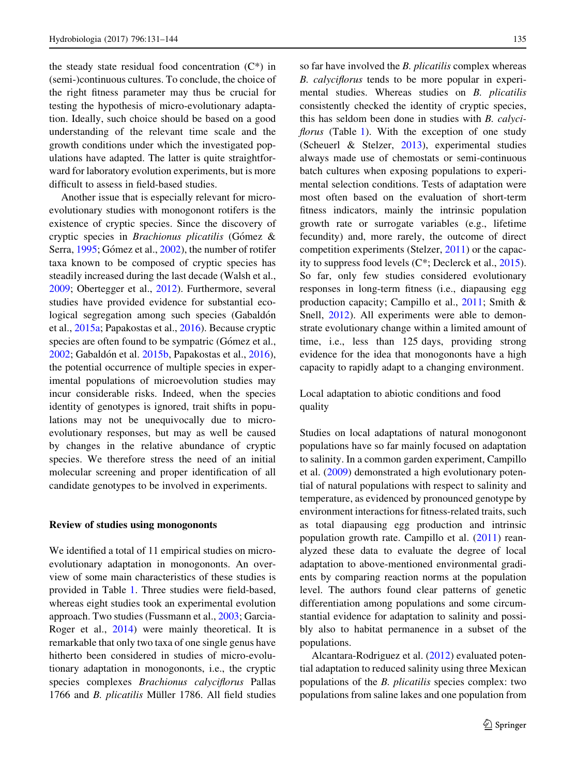the steady state residual food concentration  $(C^*)$  in (semi-)continuous cultures. To conclude, the choice of the right fitness parameter may thus be crucial for testing the hypothesis of micro-evolutionary adaptation. Ideally, such choice should be based on a good understanding of the relevant time scale and the growth conditions under which the investigated populations have adapted. The latter is quite straightforward for laboratory evolution experiments, but is more difficult to assess in field-based studies.

Another issue that is especially relevant for microevolutionary studies with monogonont rotifers is the existence of cryptic species. Since the discovery of cryptic species in Brachionus plicatilis (Gómez & Serra, [1995](#page-12-0); Gómez et al., [2002\)](#page-12-0), the number of rotifer taxa known to be composed of cryptic species has steadily increased during the last decade (Walsh et al., [2009;](#page-13-0) Obertegger et al., [2012](#page-12-0)). Furthermore, several studies have provided evidence for substantial ecological segregation among such species (Gabaldón et al., [2015a](#page-12-0); Papakostas et al., [2016\)](#page-12-0). Because cryptic species are often found to be sympatric (Gómez et al., [2002;](#page-12-0) Gabaldón et al. [2015b](#page-12-0), Papakostas et al., [2016](#page-12-0)), the potential occurrence of multiple species in experimental populations of microevolution studies may incur considerable risks. Indeed, when the species identity of genotypes is ignored, trait shifts in populations may not be unequivocally due to microevolutionary responses, but may as well be caused by changes in the relative abundance of cryptic species. We therefore stress the need of an initial molecular screening and proper identification of all candidate genotypes to be involved in experiments.

#### Review of studies using monogononts

We identified a total of 11 empirical studies on microevolutionary adaptation in monogononts. An overview of some main characteristics of these studies is provided in Table [1](#page-5-0). Three studies were field-based, whereas eight studies took an experimental evolution approach. Two studies (Fussmann et al., [2003](#page-12-0); Garcia-Roger et al., [2014\)](#page-12-0) were mainly theoretical. It is remarkable that only two taxa of one single genus have hitherto been considered in studies of micro-evolutionary adaptation in monogononts, i.e., the cryptic species complexes Brachionus calyciflorus Pallas 1766 and *B. plicatilis* Müller 1786. All field studies so far have involved the B. plicatilis complex whereas B. calyciflorus tends to be more popular in experimental studies. Whereas studies on B. plicatilis consistently checked the identity of cryptic species, this has seldom been done in studies with B. calyci*florus* (Table [1](#page-5-0)). With the exception of one study (Scheuerl & Stelzer, [2013](#page-12-0)), experimental studies always made use of chemostats or semi-continuous batch cultures when exposing populations to experimental selection conditions. Tests of adaptation were most often based on the evaluation of short-term fitness indicators, mainly the intrinsic population growth rate or surrogate variables (e.g., lifetime fecundity) and, more rarely, the outcome of direct competition experiments (Stelzer, [2011\)](#page-13-0) or the capacity to suppress food levels (C\*; Declerck et al., [2015](#page-12-0)). So far, only few studies considered evolutionary responses in long-term fitness (i.e., diapausing egg production capacity; Campillo et al., [2011;](#page-11-0) Smith & Snell, [2012](#page-13-0)). All experiments were able to demonstrate evolutionary change within a limited amount of time, i.e., less than 125 days, providing strong evidence for the idea that monogononts have a high capacity to rapidly adapt to a changing environment.

Local adaptation to abiotic conditions and food quality

Studies on local adaptations of natural monogonont populations have so far mainly focused on adaptation to salinity. In a common garden experiment, Campillo et al. ([2009\)](#page-11-0) demonstrated a high evolutionary potential of natural populations with respect to salinity and temperature, as evidenced by pronounced genotype by environment interactions for fitness-related traits, such as total diapausing egg production and intrinsic population growth rate. Campillo et al. ([2011\)](#page-11-0) reanalyzed these data to evaluate the degree of local adaptation to above-mentioned environmental gradients by comparing reaction norms at the population level. The authors found clear patterns of genetic differentiation among populations and some circumstantial evidence for adaptation to salinity and possibly also to habitat permanence in a subset of the populations.

Alcantara-Rodriguez et al. [\(2012\)](#page-11-0) evaluated potential adaptation to reduced salinity using three Mexican populations of the B. plicatilis species complex: two populations from saline lakes and one population from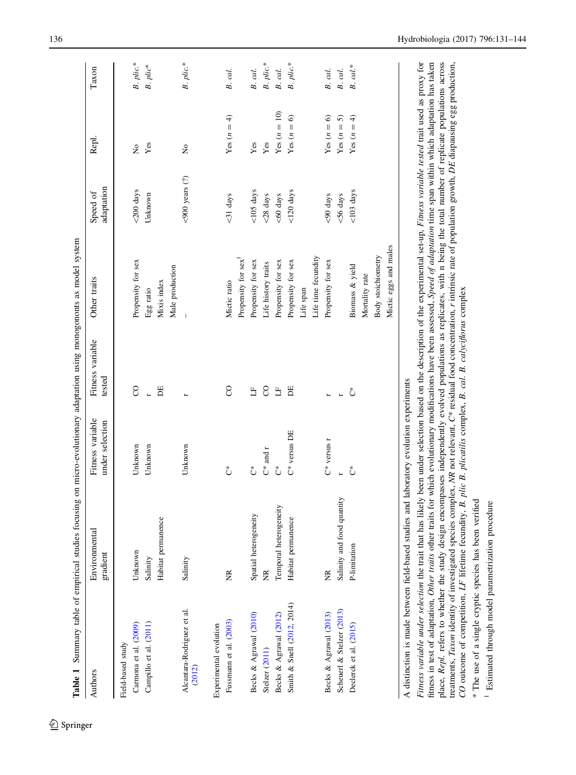<span id="page-5-0"></span>

| Authors                              | Environmental<br>gradient     | Fitness variable<br>under selection | Fitness variable<br>tested | Other traits                    | adaptation<br>Speed of | Repl.                   | Taxon                   |
|--------------------------------------|-------------------------------|-------------------------------------|----------------------------|---------------------------------|------------------------|-------------------------|-------------------------|
| Field-based study                    |                               |                                     |                            |                                 |                        |                         |                         |
| Carmona et al. (2009)                | Unknown                       | Unknown                             | 8                          | Propensity for sex              | $200$ days             | $\overline{\mathsf{x}}$ | B. plic.*               |
| Campillo et al. (2011)               | Salinity                      | Unknown                             | $\overline{a}$             | Egg ratio                       | Unknown                | Yes                     | B. plic*                |
|                                      | Habitat permanence            |                                     | $\Xi$                      | Mixis index                     |                        |                         |                         |
|                                      |                               |                                     |                            | Male production                 |                        |                         |                         |
| Alcantara-Rodriguez et al.<br>(2012) | Salinity                      | Unknown                             | Ľ                          |                                 | $500$ years $(?)$      | $\tilde{z}$             | B. plic.*               |
| Experimental evolution               |                               |                                     |                            |                                 |                        |                         |                         |
| Fussmann et al. (2003)               | g                             | ڽ                                   | 8                          | Mictic ratio                    | <31 days               | Yes $(n = 4)$           | B. cal.                 |
|                                      |                               |                                     |                            | Propensity for sex <sup>1</sup> |                        |                         |                         |
| Becks & Agrawal (2010)               | Spatial heterogeneity         | ڽ                                   | $\mathbb{H}$               | Propensity for sex              | $<$ 105 days           | Yes                     | B. cal.                 |
| Stelzer (2011)                       | ž                             | $C^*$ and $r$                       | S                          | Life history traits             | $<$ 28 days            | Yes                     | B. plic.*               |
| Becks & Agrawal (2012)               | Temporal heterogeneity        | ڽ                                   | $\mathbb{H}$               | Propensity for sex              | $< 60 \text{ days}$    | Yes $(n = 10)$          | B. cal.                 |
| Smith & Snell (2012, 2014)           | Habitat permanence            | C* versus DE                        | $\mathbb{E}$               | Propensity for sex              | $<$ 120 days           | Yes $(n = 6)$           | B. plic.*               |
|                                      |                               |                                     |                            | Life span                       |                        |                         |                         |
|                                      |                               |                                     |                            | Life time fecundity             |                        |                         |                         |
| Becks & Agrawal (2013)               | ž                             | C* versus r                         | $\overline{\phantom{a}}$   | Propensity for sex              | <90 days               | Yes $(n = 6)$           | B. cal.                 |
| Scheuerl & Stelzer (2013)            | quantity<br>Salinity and food | Ë                                   | H                          |                                 | <56 days               | Yes $(n = 5)$           | B. cal.                 |
| Declerck et al. (2015)               | P-limitation                  | ڽ                                   | $\rm\ddot{\circ}$          | Biomass & yield                 | $<$ 103 days           | Yes $(n = 4)$           | $B.$ $cal$ <sup>*</sup> |
|                                      |                               |                                     |                            | Mortality rate                  |                        |                         |                         |
|                                      |                               |                                     |                            | Body stoichiometry              |                        |                         |                         |
|                                      |                               |                                     |                            | Mictic eggs and males           |                        |                         |                         |

place, Repl. refers to whether the study design encompasses independently evolved populations as replicates, with n being the total number of replicate populations across treatments, Taxon identity of investigated species complex, NR not relevant, C\* residual food concentration, r intrinsic rate of population growth, DE diapausing egg production,

place, Repl. refers to whether the study design encompasses independently evolved populations as replicates, with n being the total number of replicate populations across treatments, *Taxon* identity of investigated species complex, *NR* not relevant, *C*\* residual food concentration, *r* intrinsic rate of population growth, *DE* diapausing egg production, *CO* outcome of compettion, *LF* l

CO outcome of competition, LF lifetime fecundity, B. plic B. plicatilis complex, B. cal. B. calyciflorus complex

\* The use of a single cryptic species has been verified <sup>1</sup> Estimated through model parametrization procedure Estimated through model parametrization procedure

\* The use of a single cryptic species has been verified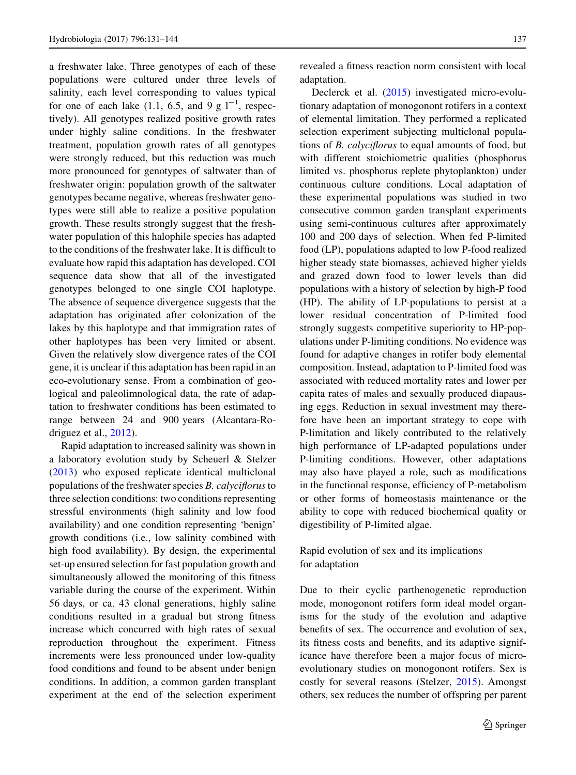a freshwater lake. Three genotypes of each of these populations were cultured under three levels of salinity, each level corresponding to values typical for one of each lake  $(1.1, 6.5, \text{ and } 9 \text{ g } 1^{-1}, \text{ respec-}$ tively). All genotypes realized positive growth rates under highly saline conditions. In the freshwater treatment, population growth rates of all genotypes were strongly reduced, but this reduction was much more pronounced for genotypes of saltwater than of freshwater origin: population growth of the saltwater genotypes became negative, whereas freshwater genotypes were still able to realize a positive population growth. These results strongly suggest that the freshwater population of this halophile species has adapted to the conditions of the freshwater lake. It is difficult to evaluate how rapid this adaptation has developed. COI sequence data show that all of the investigated genotypes belonged to one single COI haplotype. The absence of sequence divergence suggests that the adaptation has originated after colonization of the lakes by this haplotype and that immigration rates of other haplotypes has been very limited or absent. Given the relatively slow divergence rates of the COI gene, it is unclear if this adaptation has been rapid in an eco-evolutionary sense. From a combination of geological and paleolimnological data, the rate of adaptation to freshwater conditions has been estimated to range between 24 and 900 years (Alcantara-Rodriguez et al., [2012\)](#page-11-0).

Rapid adaptation to increased salinity was shown in a laboratory evolution study by Scheuerl & Stelzer [\(2013](#page-12-0)) who exposed replicate identical multiclonal populations of the freshwater species B. calyciflorus to three selection conditions: two conditions representing stressful environments (high salinity and low food availability) and one condition representing 'benign' growth conditions (i.e., low salinity combined with high food availability). By design, the experimental set-up ensured selection for fast population growth and simultaneously allowed the monitoring of this fitness variable during the course of the experiment. Within 56 days, or ca. 43 clonal generations, highly saline conditions resulted in a gradual but strong fitness increase which concurred with high rates of sexual reproduction throughout the experiment. Fitness increments were less pronounced under low-quality food conditions and found to be absent under benign conditions. In addition, a common garden transplant experiment at the end of the selection experiment revealed a fitness reaction norm consistent with local adaptation.

Declerck et al. ([2015\)](#page-12-0) investigated micro-evolutionary adaptation of monogonont rotifers in a context of elemental limitation. They performed a replicated selection experiment subjecting multiclonal populations of B. calyciflorus to equal amounts of food, but with different stoichiometric qualities (phosphorus limited vs. phosphorus replete phytoplankton) under continuous culture conditions. Local adaptation of these experimental populations was studied in two consecutive common garden transplant experiments using semi-continuous cultures after approximately 100 and 200 days of selection. When fed P-limited food (LP), populations adapted to low P-food realized higher steady state biomasses, achieved higher yields and grazed down food to lower levels than did populations with a history of selection by high-P food (HP). The ability of LP-populations to persist at a lower residual concentration of P-limited food strongly suggests competitive superiority to HP-populations under P-limiting conditions. No evidence was found for adaptive changes in rotifer body elemental composition. Instead, adaptation to P-limited food was associated with reduced mortality rates and lower per capita rates of males and sexually produced diapausing eggs. Reduction in sexual investment may therefore have been an important strategy to cope with P-limitation and likely contributed to the relatively high performance of LP-adapted populations under P-limiting conditions. However, other adaptations may also have played a role, such as modifications in the functional response, efficiency of P-metabolism or other forms of homeostasis maintenance or the ability to cope with reduced biochemical quality or digestibility of P-limited algae.

# Rapid evolution of sex and its implications for adaptation

Due to their cyclic parthenogenetic reproduction mode, monogonont rotifers form ideal model organisms for the study of the evolution and adaptive benefits of sex. The occurrence and evolution of sex, its fitness costs and benefits, and its adaptive significance have therefore been a major focus of microevolutionary studies on monogonont rotifers. Sex is costly for several reasons (Stelzer, [2015\)](#page-13-0). Amongst others, sex reduces the number of offspring per parent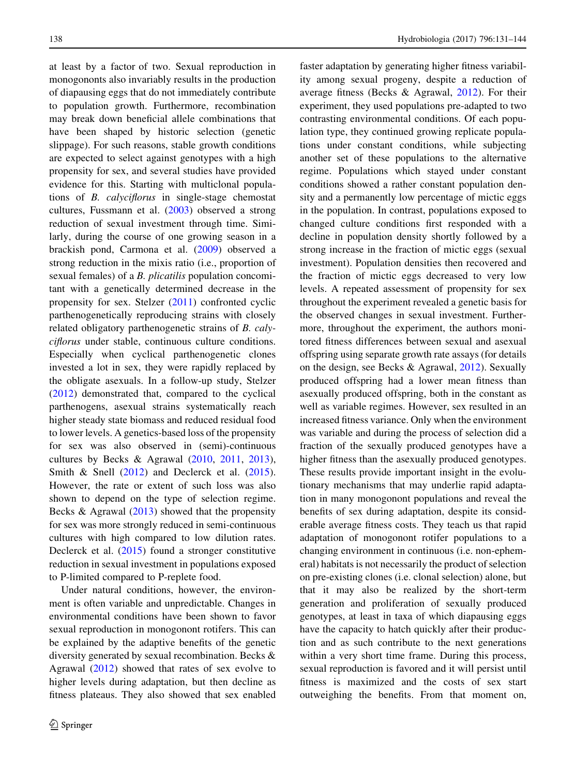at least by a factor of two. Sexual reproduction in monogononts also invariably results in the production of diapausing eggs that do not immediately contribute to population growth. Furthermore, recombination may break down beneficial allele combinations that have been shaped by historic selection (genetic slippage). For such reasons, stable growth conditions are expected to select against genotypes with a high propensity for sex, and several studies have provided evidence for this. Starting with multiclonal populations of B. calyciflorus in single-stage chemostat cultures, Fussmann et al. ([2003\)](#page-12-0) observed a strong reduction of sexual investment through time. Similarly, during the course of one growing season in a brackish pond, Carmona et al. [\(2009](#page-11-0)) observed a strong reduction in the mixis ratio (i.e., proportion of sexual females) of a *B. plicatilis* population concomitant with a genetically determined decrease in the propensity for sex. Stelzer ([2011\)](#page-13-0) confronted cyclic parthenogenetically reproducing strains with closely related obligatory parthenogenetic strains of B. calyciflorus under stable, continuous culture conditions. Especially when cyclical parthenogenetic clones invested a lot in sex, they were rapidly replaced by the obligate asexuals. In a follow-up study, Stelzer [\(2012](#page-13-0)) demonstrated that, compared to the cyclical parthenogens, asexual strains systematically reach higher steady state biomass and reduced residual food to lower levels. A genetics-based loss of the propensity for sex was also observed in (semi)-continuous cultures by Becks & Agrawal [\(2010,](#page-11-0) [2011](#page-11-0), [2013](#page-11-0)), Smith & Snell [\(2012](#page-13-0)) and Declerck et al. [\(2015](#page-12-0)). However, the rate or extent of such loss was also shown to depend on the type of selection regime. Becks & Agrawal  $(2013)$  $(2013)$  showed that the propensity for sex was more strongly reduced in semi-continuous cultures with high compared to low dilution rates. Declerck et al. [\(2015](#page-12-0)) found a stronger constitutive reduction in sexual investment in populations exposed to P-limited compared to P-replete food.

Under natural conditions, however, the environment is often variable and unpredictable. Changes in environmental conditions have been shown to favor sexual reproduction in monogonont rotifers. This can be explained by the adaptive benefits of the genetic diversity generated by sexual recombination. Becks & Agrawal ([2012\)](#page-11-0) showed that rates of sex evolve to higher levels during adaptation, but then decline as fitness plateaus. They also showed that sex enabled faster adaptation by generating higher fitness variability among sexual progeny, despite a reduction of average fitness (Becks & Agrawal, [2012](#page-11-0)). For their experiment, they used populations pre-adapted to two contrasting environmental conditions. Of each population type, they continued growing replicate populations under constant conditions, while subjecting another set of these populations to the alternative regime. Populations which stayed under constant conditions showed a rather constant population density and a permanently low percentage of mictic eggs in the population. In contrast, populations exposed to changed culture conditions first responded with a decline in population density shortly followed by a strong increase in the fraction of mictic eggs (sexual investment). Population densities then recovered and the fraction of mictic eggs decreased to very low levels. A repeated assessment of propensity for sex throughout the experiment revealed a genetic basis for the observed changes in sexual investment. Furthermore, throughout the experiment, the authors monitored fitness differences between sexual and asexual offspring using separate growth rate assays (for details on the design, see Becks & Agrawal, [2012\)](#page-11-0). Sexually produced offspring had a lower mean fitness than asexually produced offspring, both in the constant as well as variable regimes. However, sex resulted in an increased fitness variance. Only when the environment was variable and during the process of selection did a fraction of the sexually produced genotypes have a higher fitness than the asexually produced genotypes. These results provide important insight in the evolutionary mechanisms that may underlie rapid adaptation in many monogonont populations and reveal the benefits of sex during adaptation, despite its considerable average fitness costs. They teach us that rapid adaptation of monogonont rotifer populations to a changing environment in continuous (i.e. non-ephemeral) habitats is not necessarily the product of selection on pre-existing clones (i.e. clonal selection) alone, but that it may also be realized by the short-term generation and proliferation of sexually produced genotypes, at least in taxa of which diapausing eggs have the capacity to hatch quickly after their production and as such contribute to the next generations within a very short time frame. During this process, sexual reproduction is favored and it will persist until fitness is maximized and the costs of sex start outweighing the benefits. From that moment on,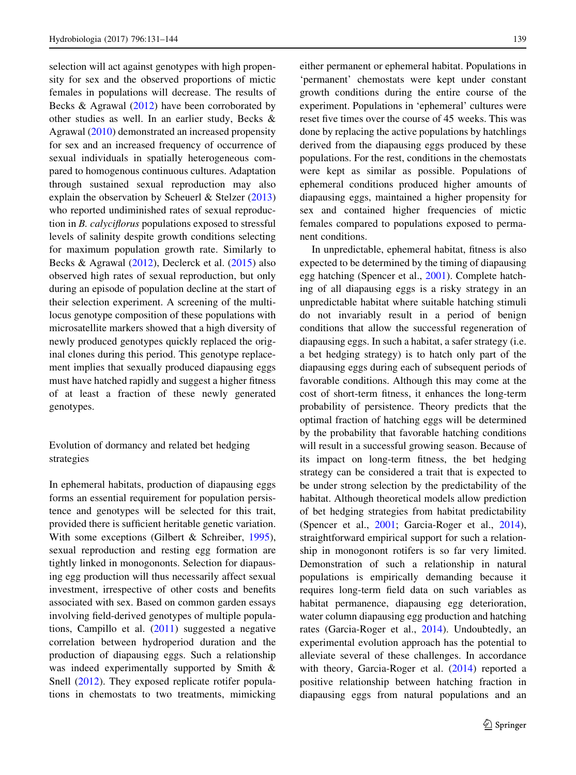selection will act against genotypes with high propensity for sex and the observed proportions of mictic females in populations will decrease. The results of Becks & Agrawal ([2012\)](#page-11-0) have been corroborated by other studies as well. In an earlier study, Becks & Agrawal ([2010\)](#page-11-0) demonstrated an increased propensity for sex and an increased frequency of occurrence of sexual individuals in spatially heterogeneous compared to homogenous continuous cultures. Adaptation through sustained sexual reproduction may also explain the observation by Scheuerl & Stelzer ([2013\)](#page-12-0) who reported undiminished rates of sexual reproduction in B. calyciflorus populations exposed to stressful levels of salinity despite growth conditions selecting for maximum population growth rate. Similarly to Becks & Agrawal ([2012\)](#page-11-0), Declerck et al. ([2015\)](#page-12-0) also observed high rates of sexual reproduction, but only during an episode of population decline at the start of their selection experiment. A screening of the multilocus genotype composition of these populations with microsatellite markers showed that a high diversity of newly produced genotypes quickly replaced the original clones during this period. This genotype replacement implies that sexually produced diapausing eggs must have hatched rapidly and suggest a higher fitness of at least a fraction of these newly generated genotypes.

Evolution of dormancy and related bet hedging strategies

In ephemeral habitats, production of diapausing eggs forms an essential requirement for population persistence and genotypes will be selected for this trait, provided there is sufficient heritable genetic variation. With some exceptions (Gilbert & Schreiber, [1995](#page-12-0)), sexual reproduction and resting egg formation are tightly linked in monogononts. Selection for diapausing egg production will thus necessarily affect sexual investment, irrespective of other costs and benefits associated with sex. Based on common garden essays involving field-derived genotypes of multiple populations, Campillo et al. [\(2011](#page-11-0)) suggested a negative correlation between hydroperiod duration and the production of diapausing eggs. Such a relationship was indeed experimentally supported by Smith & Snell [\(2012](#page-13-0)). They exposed replicate rotifer populations in chemostats to two treatments, mimicking either permanent or ephemeral habitat. Populations in 'permanent' chemostats were kept under constant growth conditions during the entire course of the experiment. Populations in 'ephemeral' cultures were reset five times over the course of 45 weeks. This was done by replacing the active populations by hatchlings derived from the diapausing eggs produced by these populations. For the rest, conditions in the chemostats were kept as similar as possible. Populations of ephemeral conditions produced higher amounts of diapausing eggs, maintained a higher propensity for sex and contained higher frequencies of mictic females compared to populations exposed to permanent conditions.

In unpredictable, ephemeral habitat, fitness is also expected to be determined by the timing of diapausing egg hatching (Spencer et al., [2001](#page-13-0)). Complete hatching of all diapausing eggs is a risky strategy in an unpredictable habitat where suitable hatching stimuli do not invariably result in a period of benign conditions that allow the successful regeneration of diapausing eggs. In such a habitat, a safer strategy (i.e. a bet hedging strategy) is to hatch only part of the diapausing eggs during each of subsequent periods of favorable conditions. Although this may come at the cost of short-term fitness, it enhances the long-term probability of persistence. Theory predicts that the optimal fraction of hatching eggs will be determined by the probability that favorable hatching conditions will result in a successful growing season. Because of its impact on long-term fitness, the bet hedging strategy can be considered a trait that is expected to be under strong selection by the predictability of the habitat. Although theoretical models allow prediction of bet hedging strategies from habitat predictability (Spencer et al., [2001](#page-13-0); Garcia-Roger et al., [2014](#page-12-0)), straightforward empirical support for such a relationship in monogonont rotifers is so far very limited. Demonstration of such a relationship in natural populations is empirically demanding because it requires long-term field data on such variables as habitat permanence, diapausing egg deterioration, water column diapausing egg production and hatching rates (Garcia-Roger et al., [2014\)](#page-12-0). Undoubtedly, an experimental evolution approach has the potential to alleviate several of these challenges. In accordance with theory, Garcia-Roger et al. ([2014\)](#page-12-0) reported a positive relationship between hatching fraction in diapausing eggs from natural populations and an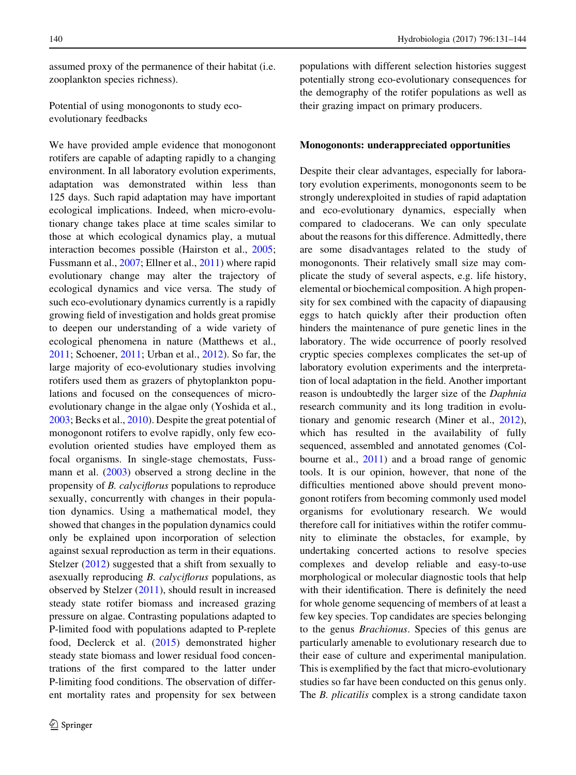Potential of using monogononts to study ecoevolutionary feedbacks

We have provided ample evidence that monogonont rotifers are capable of adapting rapidly to a changing environment. In all laboratory evolution experiments, adaptation was demonstrated within less than 125 days. Such rapid adaptation may have important ecological implications. Indeed, when micro-evolutionary change takes place at time scales similar to those at which ecological dynamics play, a mutual interaction becomes possible (Hairston et al., [2005](#page-12-0); Fussmann et al., [2007;](#page-12-0) Ellner et al., [2011](#page-12-0)) where rapid evolutionary change may alter the trajectory of ecological dynamics and vice versa. The study of such eco-evolutionary dynamics currently is a rapidly growing field of investigation and holds great promise to deepen our understanding of a wide variety of ecological phenomena in nature (Matthews et al., [2011;](#page-12-0) Schoener, [2011](#page-13-0); Urban et al., [2012](#page-13-0)). So far, the large majority of eco-evolutionary studies involving rotifers used them as grazers of phytoplankton populations and focused on the consequences of microevolutionary change in the algae only (Yoshida et al., [2003;](#page-13-0) Becks et al., [2010\)](#page-11-0). Despite the great potential of monogonont rotifers to evolve rapidly, only few ecoevolution oriented studies have employed them as focal organisms. In single-stage chemostats, Fussmann et al. [\(2003\)](#page-12-0) observed a strong decline in the propensity of B. calyciflorus populations to reproduce sexually, concurrently with changes in their population dynamics. Using a mathematical model, they showed that changes in the population dynamics could only be explained upon incorporation of selection against sexual reproduction as term in their equations. Stelzer ([2012\)](#page-13-0) suggested that a shift from sexually to asexually reproducing B. calyciflorus populations, as observed by Stelzer ([2011\)](#page-13-0), should result in increased steady state rotifer biomass and increased grazing pressure on algae. Contrasting populations adapted to P-limited food with populations adapted to P-replete food, Declerck et al. ([2015\)](#page-12-0) demonstrated higher steady state biomass and lower residual food concentrations of the first compared to the latter under P-limiting food conditions. The observation of different mortality rates and propensity for sex between

populations with different selection histories suggest potentially strong eco-evolutionary consequences for the demography of the rotifer populations as well as their grazing impact on primary producers.

## Monogononts: underappreciated opportunities

Despite their clear advantages, especially for laboratory evolution experiments, monogononts seem to be strongly underexploited in studies of rapid adaptation and eco-evolutionary dynamics, especially when compared to cladocerans. We can only speculate about the reasons for this difference. Admittedly, there are some disadvantages related to the study of monogononts. Their relatively small size may complicate the study of several aspects, e.g. life history, elemental or biochemical composition. A high propensity for sex combined with the capacity of diapausing eggs to hatch quickly after their production often hinders the maintenance of pure genetic lines in the laboratory. The wide occurrence of poorly resolved cryptic species complexes complicates the set-up of laboratory evolution experiments and the interpretation of local adaptation in the field. Another important reason is undoubtedly the larger size of the Daphnia research community and its long tradition in evolutionary and genomic research (Miner et al., [2012](#page-12-0)), which has resulted in the availability of fully sequenced, assembled and annotated genomes (Colbourne et al., [2011\)](#page-11-0) and a broad range of genomic tools. It is our opinion, however, that none of the difficulties mentioned above should prevent monogonont rotifers from becoming commonly used model organisms for evolutionary research. We would therefore call for initiatives within the rotifer community to eliminate the obstacles, for example, by undertaking concerted actions to resolve species complexes and develop reliable and easy-to-use morphological or molecular diagnostic tools that help with their identification. There is definitely the need for whole genome sequencing of members of at least a few key species. Top candidates are species belonging to the genus Brachionus. Species of this genus are particularly amenable to evolutionary research due to their ease of culture and experimental manipulation. This is exemplified by the fact that micro-evolutionary studies so far have been conducted on this genus only. The B. plicatilis complex is a strong candidate taxon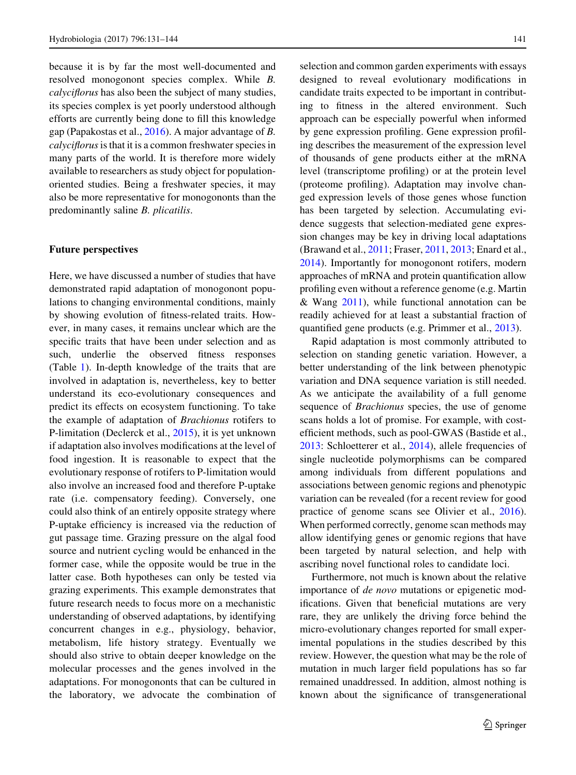because it is by far the most well-documented and resolved monogonont species complex. While B. calyciflorus has also been the subject of many studies, its species complex is yet poorly understood although efforts are currently being done to fill this knowledge gap (Papakostas et al., [2016](#page-12-0)). A major advantage of B. calyciflorus is that it is a common freshwater species in many parts of the world. It is therefore more widely available to researchers as study object for populationoriented studies. Being a freshwater species, it may also be more representative for monogononts than the predominantly saline B. plicatilis.

## Future perspectives

Here, we have discussed a number of studies that have demonstrated rapid adaptation of monogonont populations to changing environmental conditions, mainly by showing evolution of fitness-related traits. However, in many cases, it remains unclear which are the specific traits that have been under selection and as such, underlie the observed fitness responses (Table [1](#page-5-0)). In-depth knowledge of the traits that are involved in adaptation is, nevertheless, key to better understand its eco-evolutionary consequences and predict its effects on ecosystem functioning. To take the example of adaptation of Brachionus rotifers to P-limitation (Declerck et al., [2015](#page-12-0)), it is yet unknown if adaptation also involves modifications at the level of food ingestion. It is reasonable to expect that the evolutionary response of rotifers to P-limitation would also involve an increased food and therefore P-uptake rate (i.e. compensatory feeding). Conversely, one could also think of an entirely opposite strategy where P-uptake efficiency is increased via the reduction of gut passage time. Grazing pressure on the algal food source and nutrient cycling would be enhanced in the former case, while the opposite would be true in the latter case. Both hypotheses can only be tested via grazing experiments. This example demonstrates that future research needs to focus more on a mechanistic understanding of observed adaptations, by identifying concurrent changes in e.g., physiology, behavior, metabolism, life history strategy. Eventually we should also strive to obtain deeper knowledge on the molecular processes and the genes involved in the adaptations. For monogononts that can be cultured in the laboratory, we advocate the combination of selection and common garden experiments with essays designed to reveal evolutionary modifications in candidate traits expected to be important in contributing to fitness in the altered environment. Such approach can be especially powerful when informed by gene expression profiling. Gene expression profiling describes the measurement of the expression level of thousands of gene products either at the mRNA level (transcriptome profiling) or at the protein level (proteome profiling). Adaptation may involve changed expression levels of those genes whose function has been targeted by selection. Accumulating evidence suggests that selection-mediated gene expression changes may be key in driving local adaptations (Brawand et al., [2011;](#page-11-0) Fraser, [2011,](#page-12-0) [2013](#page-12-0); Enard et al., [2014\)](#page-12-0). Importantly for monogonont rotifers, modern approaches of mRNA and protein quantification allow profiling even without a reference genome (e.g. Martin  $& Wang 2011$ , while functional annotation can be readily achieved for at least a substantial fraction of quantified gene products (e.g. Primmer et al., [2013](#page-12-0)).

Rapid adaptation is most commonly attributed to selection on standing genetic variation. However, a better understanding of the link between phenotypic variation and DNA sequence variation is still needed. As we anticipate the availability of a full genome sequence of *Brachionus* species, the use of genome scans holds a lot of promise. For example, with costefficient methods, such as pool-GWAS (Bastide et al., [2013:](#page-11-0) Schloetterer et al., [2014\)](#page-13-0), allele frequencies of single nucleotide polymorphisms can be compared among individuals from different populations and associations between genomic regions and phenotypic variation can be revealed (for a recent review for good practice of genome scans see Olivier et al., [2016](#page-12-0)). When performed correctly, genome scan methods may allow identifying genes or genomic regions that have been targeted by natural selection, and help with ascribing novel functional roles to candidate loci.

Furthermore, not much is known about the relative importance of de novo mutations or epigenetic modifications. Given that beneficial mutations are very rare, they are unlikely the driving force behind the micro-evolutionary changes reported for small experimental populations in the studies described by this review. However, the question what may be the role of mutation in much larger field populations has so far remained unaddressed. In addition, almost nothing is known about the significance of transgenerational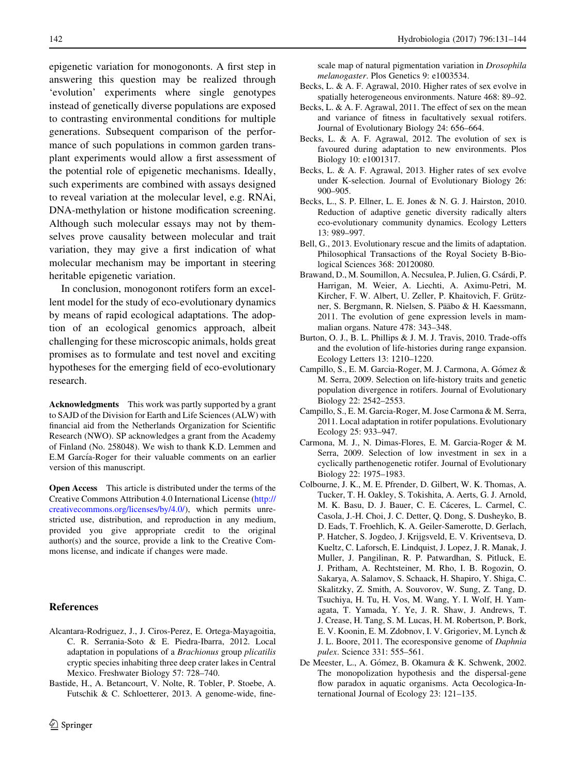<span id="page-11-0"></span>epigenetic variation for monogononts. A first step in answering this question may be realized through 'evolution' experiments where single genotypes instead of genetically diverse populations are exposed to contrasting environmental conditions for multiple generations. Subsequent comparison of the performance of such populations in common garden transplant experiments would allow a first assessment of the potential role of epigenetic mechanisms. Ideally, such experiments are combined with assays designed to reveal variation at the molecular level, e.g. RNAi, DNA-methylation or histone modification screening. Although such molecular essays may not by themselves prove causality between molecular and trait variation, they may give a first indication of what molecular mechanism may be important in steering heritable epigenetic variation.

In conclusion, monogonont rotifers form an excellent model for the study of eco-evolutionary dynamics by means of rapid ecological adaptations. The adoption of an ecological genomics approach, albeit challenging for these microscopic animals, holds great promises as to formulate and test novel and exciting hypotheses for the emerging field of eco-evolutionary research.

Acknowledgments This work was partly supported by a grant to SAJD of the Division for Earth and Life Sciences (ALW) with financial aid from the Netherlands Organization for Scientific Research (NWO). SP acknowledges a grant from the Academy of Finland (No. 258048). We wish to thank K.D. Lemmen and E.M García-Roger for their valuable comments on an earlier version of this manuscript.

Open Access This article is distributed under the terms of the Creative Commons Attribution 4.0 International License ([http://](http://creativecommons.org/licenses/by/4.0/) [creativecommons.org/licenses/by/4.0/\)](http://creativecommons.org/licenses/by/4.0/), which permits unrestricted use, distribution, and reproduction in any medium, provided you give appropriate credit to the original author(s) and the source, provide a link to the Creative Commons license, and indicate if changes were made.

## References

- Alcantara-Rodriguez, J., J. Ciros-Perez, E. Ortega-Mayagoitia, C. R. Serrania-Soto & E. Piedra-Ibarra, 2012. Local adaptation in populations of a Brachionus group plicatilis cryptic species inhabiting three deep crater lakes in Central Mexico. Freshwater Biology 57: 728–740.
- Bastide, H., A. Betancourt, V. Nolte, R. Tobler, P. Stoebe, A. Futschik & C. Schloetterer, 2013. A genome-wide, fine-

scale map of natural pigmentation variation in Drosophila melanogaster. Plos Genetics 9: e1003534.

- Becks, L. & A. F. Agrawal, 2010. Higher rates of sex evolve in spatially heterogeneous environments. Nature 468: 89–92.
- Becks, L. & A. F. Agrawal, 2011. The effect of sex on the mean and variance of fitness in facultatively sexual rotifers. Journal of Evolutionary Biology 24: 656–664.
- Becks, L. & A. F. Agrawal, 2012. The evolution of sex is favoured during adaptation to new environments. Plos Biology 10: e1001317.
- Becks, L. & A. F. Agrawal, 2013. Higher rates of sex evolve under K-selection. Journal of Evolutionary Biology 26: 900–905.
- Becks, L., S. P. Ellner, L. E. Jones & N. G. J. Hairston, 2010. Reduction of adaptive genetic diversity radically alters eco-evolutionary community dynamics. Ecology Letters 13: 989–997.
- Bell, G., 2013. Evolutionary rescue and the limits of adaptation. Philosophical Transactions of the Royal Society B-Biological Sciences 368: 20120080.
- Brawand, D., M. Soumillon, A. Necsulea, P. Julien, G. Csárdi, P. Harrigan, M. Weier, A. Liechti, A. Aximu-Petri, M. Kircher, F. W. Albert, U. Zeller, P. Khaitovich, F. Grützner, S. Bergmann, R. Nielsen, S. Pääbo & H. Kaessmann, 2011. The evolution of gene expression levels in mammalian organs. Nature 478: 343–348.
- Burton, O. J., B. L. Phillips & J. M. J. Travis, 2010. Trade-offs and the evolution of life-histories during range expansion. Ecology Letters 13: 1210–1220.
- Campillo, S., E. M. Garcia-Roger, M. J. Carmona, A. Gómez & M. Serra, 2009. Selection on life-history traits and genetic population divergence in rotifers. Journal of Evolutionary Biology 22: 2542–2553.
- Campillo, S., E. M. Garcia-Roger, M. Jose Carmona & M. Serra, 2011. Local adaptation in rotifer populations. Evolutionary Ecology 25: 933–947.
- Carmona, M. J., N. Dimas-Flores, E. M. Garcia-Roger & M. Serra, 2009. Selection of low investment in sex in a cyclically parthenogenetic rotifer. Journal of Evolutionary Biology 22: 1975–1983.
- Colbourne, J. K., M. E. Pfrender, D. Gilbert, W. K. Thomas, A. Tucker, T. H. Oakley, S. Tokishita, A. Aerts, G. J. Arnold, M. K. Basu, D. J. Bauer, C. E. Cáceres, L. Carmel, C. Casola, J.-H. Choi, J. C. Detter, Q. Dong, S. Dusheyko, B. D. Eads, T. Froehlich, K. A. Geiler-Samerotte, D. Gerlach, P. Hatcher, S. Jogdeo, J. Krijgsveld, E. V. Kriventseva, D. Kueltz, C. Laforsch, E. Lindquist, J. Lopez, J. R. Manak, J. Muller, J. Pangilinan, R. P. Patwardhan, S. Pitluck, E. J. Pritham, A. Rechtsteiner, M. Rho, I. B. Rogozin, O. Sakarya, A. Salamov, S. Schaack, H. Shapiro, Y. Shiga, C. Skalitzky, Z. Smith, A. Souvorov, W. Sung, Z. Tang, D. Tsuchiya, H. Tu, H. Vos, M. Wang, Y. I. Wolf, H. Yamagata, T. Yamada, Y. Ye, J. R. Shaw, J. Andrews, T. J. Crease, H. Tang, S. M. Lucas, H. M. Robertson, P. Bork, E. V. Koonin, E. M. Zdobnov, I. V. Grigoriev, M. Lynch & J. L. Boore, 2011. The ecoresponsive genome of Daphnia pulex. Science 331: 555–561.
- De Meester, L., A. Gómez, B. Okamura & K. Schwenk, 2002. The monopolization hypothesis and the dispersal-gene flow paradox in aquatic organisms. Acta Oecologica-International Journal of Ecology 23: 121–135.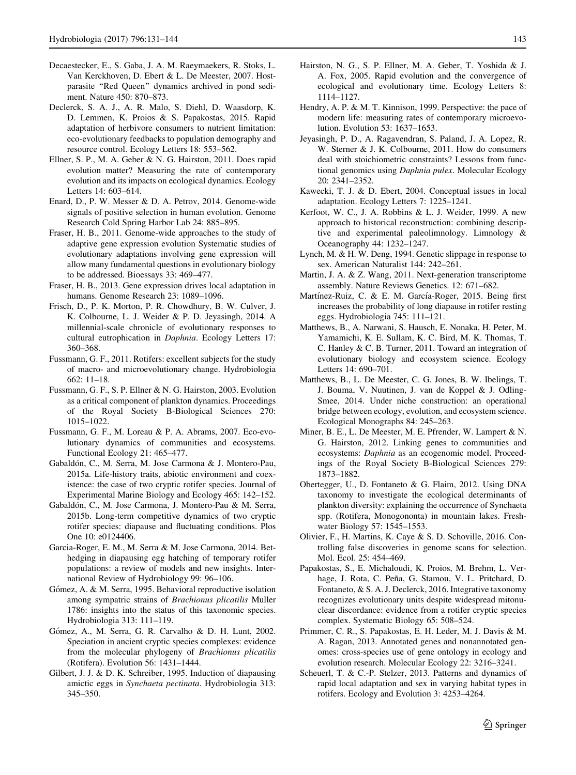- <span id="page-12-0"></span>Decaestecker, E., S. Gaba, J. A. M. Raeymaekers, R. Stoks, L. Van Kerckhoven, D. Ebert & L. De Meester, 2007. Hostparasite ''Red Queen'' dynamics archived in pond sediment. Nature 450: 870–873.
- Declerck, S. A. J., A. R. Malo, S. Diehl, D. Waasdorp, K. D. Lemmen, K. Proios & S. Papakostas, 2015. Rapid adaptation of herbivore consumers to nutrient limitation: eco-evolutionary feedbacks to population demography and resource control. Ecology Letters 18: 553–562.
- Ellner, S. P., M. A. Geber & N. G. Hairston, 2011. Does rapid evolution matter? Measuring the rate of contemporary evolution and its impacts on ecological dynamics. Ecology Letters 14: 603–614.
- Enard, D., P. W. Messer & D. A. Petrov, 2014. Genome-wide signals of positive selection in human evolution. Genome Research Cold Spring Harbor Lab 24: 885–895.
- Fraser, H. B., 2011. Genome-wide approaches to the study of adaptive gene expression evolution Systematic studies of evolutionary adaptations involving gene expression will allow many fundamental questions in evolutionary biology to be addressed. Bioessays 33: 469–477.
- Fraser, H. B., 2013. Gene expression drives local adaptation in humans. Genome Research 23: 1089–1096.
- Frisch, D., P. K. Morton, P. R. Chowdhury, B. W. Culver, J. K. Colbourne, L. J. Weider & P. D. Jeyasingh, 2014. A millennial-scale chronicle of evolutionary responses to cultural eutrophication in Daphnia. Ecology Letters 17: 360–368.
- Fussmann, G. F., 2011. Rotifers: excellent subjects for the study of macro- and microevolutionary change. Hydrobiologia 662: 11–18.
- Fussmann, G. F., S. P. Ellner & N. G. Hairston, 2003. Evolution as a critical component of plankton dynamics. Proceedings of the Royal Society B-Biological Sciences 270: 1015–1022.
- Fussmann, G. F., M. Loreau & P. A. Abrams, 2007. Eco-evolutionary dynamics of communities and ecosystems. Functional Ecology 21: 465–477.
- Gabaldón, C., M. Serra, M. Jose Carmona & J. Montero-Pau, 2015a. Life-history traits, abiotic environment and coexistence: the case of two cryptic rotifer species. Journal of Experimental Marine Biology and Ecology 465: 142–152.
- Gabaldón, C., M. Jose Carmona, J. Montero-Pau & M. Serra, 2015b. Long-term competitive dynamics of two cryptic rotifer species: diapause and fluctuating conditions. Plos One 10: e0124406.
- Garcia-Roger, E. M., M. Serra & M. Jose Carmona, 2014. Bethedging in diapausing egg hatching of temporary rotifer populations: a review of models and new insights. International Review of Hydrobiology 99: 96–106.
- Gómez, A. & M. Serra, 1995. Behavioral reproductive isolation among sympatric strains of Brachionus plicatilis Muller 1786: insights into the status of this taxonomic species. Hydrobiologia 313: 111–119.
- Gómez, A., M. Serra, G. R. Carvalho & D. H. Lunt, 2002. Speciation in ancient cryptic species complexes: evidence from the molecular phylogeny of Brachionus plicatilis (Rotifera). Evolution 56: 1431–1444.
- Gilbert, J. J. & D. K. Schreiber, 1995. Induction of diapausing amictic eggs in Synchaeta pectinata. Hydrobiologia 313: 345–350.
- Hairston, N. G., S. P. Ellner, M. A. Geber, T. Yoshida & J. A. Fox, 2005. Rapid evolution and the convergence of ecological and evolutionary time. Ecology Letters 8: 1114–1127.
- Hendry, A. P. & M. T. Kinnison, 1999. Perspective: the pace of modern life: measuring rates of contemporary microevolution. Evolution 53: 1637–1653.
- Jeyasingh, P. D., A. Ragavendran, S. Paland, J. A. Lopez, R. W. Sterner & J. K. Colbourne, 2011. How do consumers deal with stoichiometric constraints? Lessons from functional genomics using Daphnia pulex. Molecular Ecology 20: 2341–2352.
- Kawecki, T. J. & D. Ebert, 2004. Conceptual issues in local adaptation. Ecology Letters 7: 1225–1241.
- Kerfoot, W. C., J. A. Robbins & L. J. Weider, 1999. A new approach to historical reconstruction: combining descriptive and experimental paleolimnology. Limnology & Oceanography 44: 1232–1247.
- Lynch, M. & H. W. Deng, 1994. Genetic slippage in response to sex. American Naturalist 144: 242–261.
- Martin, J. A. & Z. Wang, 2011. Next-generation transcriptome assembly. Nature Reviews Genetics. 12: 671–682.
- Martínez-Ruiz, C. & E. M. García-Roger, 2015. Being first increases the probability of long diapause in rotifer resting eggs. Hydrobiologia 745: 111–121.
- Matthews, B., A. Narwani, S. Hausch, E. Nonaka, H. Peter, M. Yamamichi, K. E. Sullam, K. C. Bird, M. K. Thomas, T. C. Hanley & C. B. Turner, 2011. Toward an integration of evolutionary biology and ecosystem science. Ecology Letters 14: 690–701.
- Matthews, B., L. De Meester, C. G. Jones, B. W. Ibelings, T. J. Bouma, V. Nuutinen, J. van de Koppel & J. Odling-Smee, 2014. Under niche construction: an operational bridge between ecology, evolution, and ecosystem science. Ecological Monographs 84: 245–263.
- Miner, B. E., L. De Meester, M. E. Pfrender, W. Lampert & N. G. Hairston, 2012. Linking genes to communities and ecosystems: Daphnia as an ecogenomic model. Proceedings of the Royal Society B-Biological Sciences 279: 1873–1882.
- Obertegger, U., D. Fontaneto & G. Flaim, 2012. Using DNA taxonomy to investigate the ecological determinants of plankton diversity: explaining the occurrence of Synchaeta spp. (Rotifera, Monogononta) in mountain lakes. Freshwater Biology 57: 1545–1553.
- Olivier, F., H. Martins, K. Caye & S. D. Schoville, 2016. Controlling false discoveries in genome scans for selection. Mol. Ecol. 25: 454–469.
- Papakostas, S., E. Michaloudi, K. Proios, M. Brehm, L. Verhage, J. Rota, C. Peña, G. Stamou, V. L. Pritchard, D. Fontaneto, & S. A. J. Declerck, 2016. Integrative taxonomy recognizes evolutionary units despite widespread mitonuclear discordance: evidence from a rotifer cryptic species complex. Systematic Biology 65: 508–524.
- Primmer, C. R., S. Papakostas, E. H. Leder, M. J. Davis & M. A. Ragan, 2013. Annotated genes and nonannotated genomes: cross-species use of gene ontology in ecology and evolution research. Molecular Ecology 22: 3216–3241.
- Scheuerl, T. & C.-P. Stelzer, 2013. Patterns and dynamics of rapid local adaptation and sex in varying habitat types in rotifers. Ecology and Evolution 3: 4253–4264.